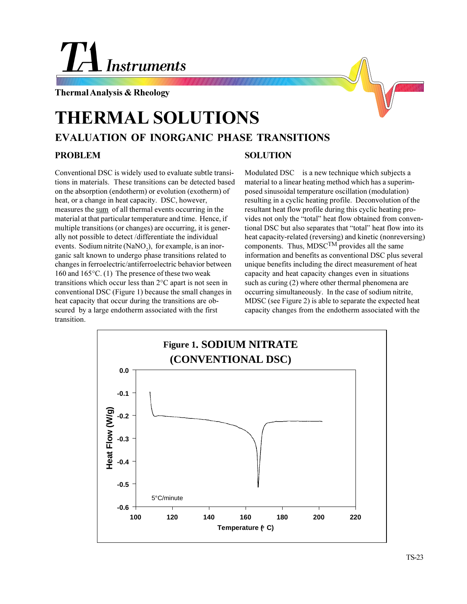## **Instruments**

**Thermal Analysis & Rheology**

## **EVALUATION OF INORGANIC PHASE TRANSITIONS THERMAL SOLUTIONS PROBLEM**

Conventional DSC is widely used to evaluate subtle transitions in materials. These transitions can be detected based on the absorption (endotherm) or evolution (exotherm) of heat, or a change in heat capacity. DSC, however, measures the sum of all thermal events occurring in the material at that particular temperature and time. Hence, if multiple transitions (or changes) are occurring, it is generally not possible to detect /differentiate the individual events. Sodium nitrite (NaNO<sub>2</sub>), for example, is an inorganic salt known to undergo phase transitions related to changes in ferroelectric/antiferroelectric behavior between 160 and 165°C. (1) The presence of these two weak transitions which occur less than 2°C apart is not seen in conventional DSC (Figure 1) because the small changes in heat capacity that occur during the transitions are obscured by a large endotherm associated with the first transition.

## **SOLUTION**

Modulated DSC<sup>™</sup> is a new technique which subjects a material to a linear heating method which has a superimposed sinusoidal temperature oscillation (modulation) resulting in a cyclic heating profile. Deconvolution of the resultant heat flow profile during this cyclic heating provides not only the "total" heat flow obtained from conventional DSC but also separates that "total" heat flow into its heat capacity-related (reversing) and kinetic (nonreversing) components. Thus,  $\widehat{M}$ DSC<sup>TM</sup> provides all the same information and benefits as conventional DSC plus several unique benefits including the direct measurement of heat capacity and heat capacity changes even in situations such as curing (2) where other thermal phenomena are occurring simultaneously. In the case of sodium nitrite, MDSC (see Figure 2) is able to separate the expected heat capacity changes from the endotherm associated with the